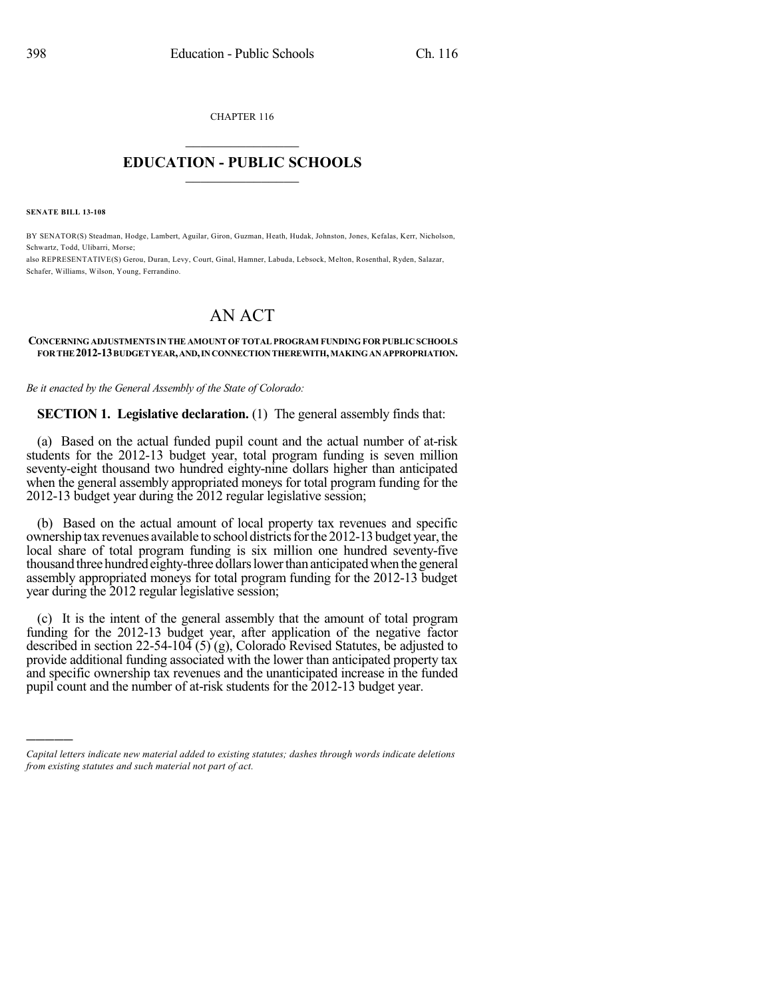CHAPTER 116  $\overline{\phantom{a}}$  . The set of the set of the set of the set of the set of the set of the set of the set of the set of the set of the set of the set of the set of the set of the set of the set of the set of the set of the set o

## **EDUCATION - PUBLIC SCHOOLS**  $\_$   $\_$   $\_$   $\_$   $\_$   $\_$   $\_$   $\_$   $\_$

**SENATE BILL 13-108**

)))))

BY SENATOR(S) Steadman, Hodge, Lambert, Aguilar, Giron, Guzman, Heath, Hudak, Johnston, Jones, Kefalas, Kerr, Nicholson, Schwartz, Todd, Ulibarri, Morse;

also REPRESENTATIVE(S) Gerou, Duran, Levy, Court, Ginal, Hamner, Labuda, Lebsock, Melton, Rosenthal, Ryden, Salazar, Schafer, Williams, Wilson, Young, Ferrandino.

# AN ACT

#### **CONCERNINGADJUSTMENTS IN THE AMOUNT OF TOTAL PROGRAM FUNDING FOR PUBLIC SCHOOLS FORTHE 2012-13BUDGETYEAR,AND,INCONNECTIONTHEREWITH,MAKINGANAPPROPRIATION.**

*Be it enacted by the General Assembly of the State of Colorado:*

**SECTION 1. Legislative declaration.** (1) The general assembly finds that:

(a) Based on the actual funded pupil count and the actual number of at-risk students for the 2012-13 budget year, total program funding is seven million seventy-eight thousand two hundred eighty-nine dollars higher than anticipated when the general assembly appropriated moneys for total program funding for the 2012-13 budget year during the 2012 regular legislative session;

(b) Based on the actual amount of local property tax revenues and specific ownership tax revenues available to school districts for the 2012-13 budget year, the local share of total program funding is six million one hundred seventy-five thousand three hundred eighty-three dollars lower than anticipated when the general assembly appropriated moneys for total program funding for the 2012-13 budget year during the 2012 regular legislative session;

(c) It is the intent of the general assembly that the amount of total program funding for the 2012-13 budget year, after application of the negative factor described in section 22-54-104 (5) (g), Colorado Revised Statutes, be adjusted to provide additional funding associated with the lower than anticipated property tax and specific ownership tax revenues and the unanticipated increase in the funded pupil count and the number of at-risk students for the 2012-13 budget year.

*Capital letters indicate new material added to existing statutes; dashes through words indicate deletions from existing statutes and such material not part of act.*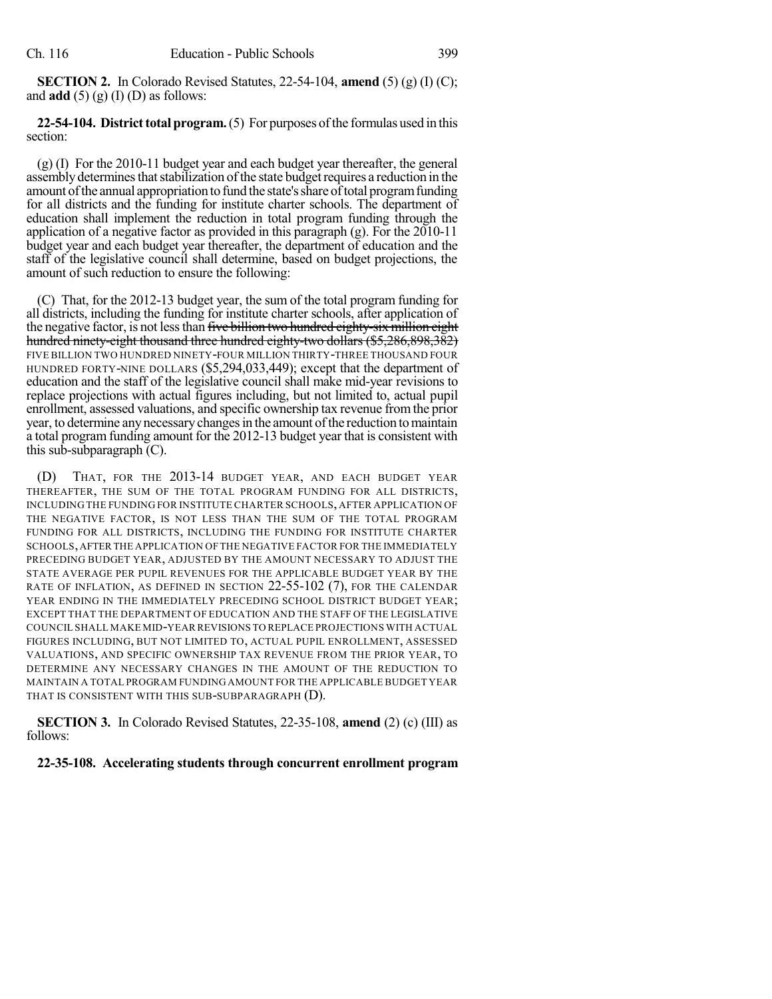**SECTION 2.** In Colorado Revised Statutes, 22-54-104, **amend** (5) (g) (I) (C); and  $\text{add}(5)(g)(I)(D)$  as follows:

**22-54-104. District total program.** (5) For purposes of the formulas used in this section:

(g) (I) For the 2010-11 budget year and each budget year thereafter, the general assembly determines that stabilization of the state budget requires a reduction in the amount of the annual appropriation to fund the state's share of total program funding for all districts and the funding for institute charter schools. The department of education shall implement the reduction in total program funding through the application of a negative factor as provided in this paragraph (g). For the 2010-11 budget year and each budget year thereafter, the department of education and the staff of the legislative council shall determine, based on budget projections, the amount of such reduction to ensure the following:

(C) That, for the 2012-13 budget year, the sum of the total program funding for all districts, including the funding for institute charter schools, after application of the negative factor, is not less than five billion two hundred eighty-six million eight hundred ninety-eight thousand three hundred eighty-two dollars (\$5,286,898,382) FIVE BILLION TWO HUNDRED NINETY-FOUR MILLION THIRTY-THREE THOUSAND FOUR HUNDRED FORTY-NINE DOLLARS (\$5,294,033,449); except that the department of education and the staff of the legislative council shall make mid-year revisions to replace projections with actual figures including, but not limited to, actual pupil enrollment, assessed valuations, and specific ownership tax revenue fromthe prior year, to determine any necessary changes in the amount of the reduction to maintain a total program funding amount for the 2012-13 budget year that is consistent with this sub-subparagraph  $(C)$ .

(D) THAT, FOR THE 2013-14 BUDGET YEAR, AND EACH BUDGET YEAR THEREAFTER, THE SUM OF THE TOTAL PROGRAM FUNDING FOR ALL DISTRICTS, INCLUDING THE FUNDING FOR INSTITUTE CHARTER SCHOOLS, AFTER APPLICATION OF THE NEGATIVE FACTOR, IS NOT LESS THAN THE SUM OF THE TOTAL PROGRAM FUNDING FOR ALL DISTRICTS, INCLUDING THE FUNDING FOR INSTITUTE CHARTER SCHOOLS,AFTERTHE APPLICATION OF THE NEGATIVE FACTOR FOR THE IMMEDIATELY PRECEDING BUDGET YEAR, ADJUSTED BY THE AMOUNT NECESSARY TO ADJUST THE STATE AVERAGE PER PUPIL REVENUES FOR THE APPLICABLE BUDGET YEAR BY THE RATE OF INFLATION, AS DEFINED IN SECTION 22-55-102 (7), FOR THE CALENDAR YEAR ENDING IN THE IMMEDIATELY PRECEDING SCHOOL DISTRICT BUDGET YEAR; EXCEPT THAT THE DEPARTMENT OF EDUCATION AND THE STAFF OF THE LEGISLATIVE COUNCIL SHALL MAKE MID-YEAR REVISIONS TO REPLACE PROJECTIONS WITH ACTUAL FIGURES INCLUDING, BUT NOT LIMITED TO, ACTUAL PUPIL ENROLLMENT, ASSESSED VALUATIONS, AND SPECIFIC OWNERSHIP TAX REVENUE FROM THE PRIOR YEAR, TO DETERMINE ANY NECESSARY CHANGES IN THE AMOUNT OF THE REDUCTION TO MAINTAIN A TOTAL PROGRAM FUNDING AMOUNT FOR THE APPLICABLE BUDGET YEAR THAT IS CONSISTENT WITH THIS SUB-SUBPARAGRAPH (D).

**SECTION 3.** In Colorado Revised Statutes, 22-35-108, **amend** (2) (c) (III) as follows:

## **22-35-108. Accelerating students through concurrent enrollment program**